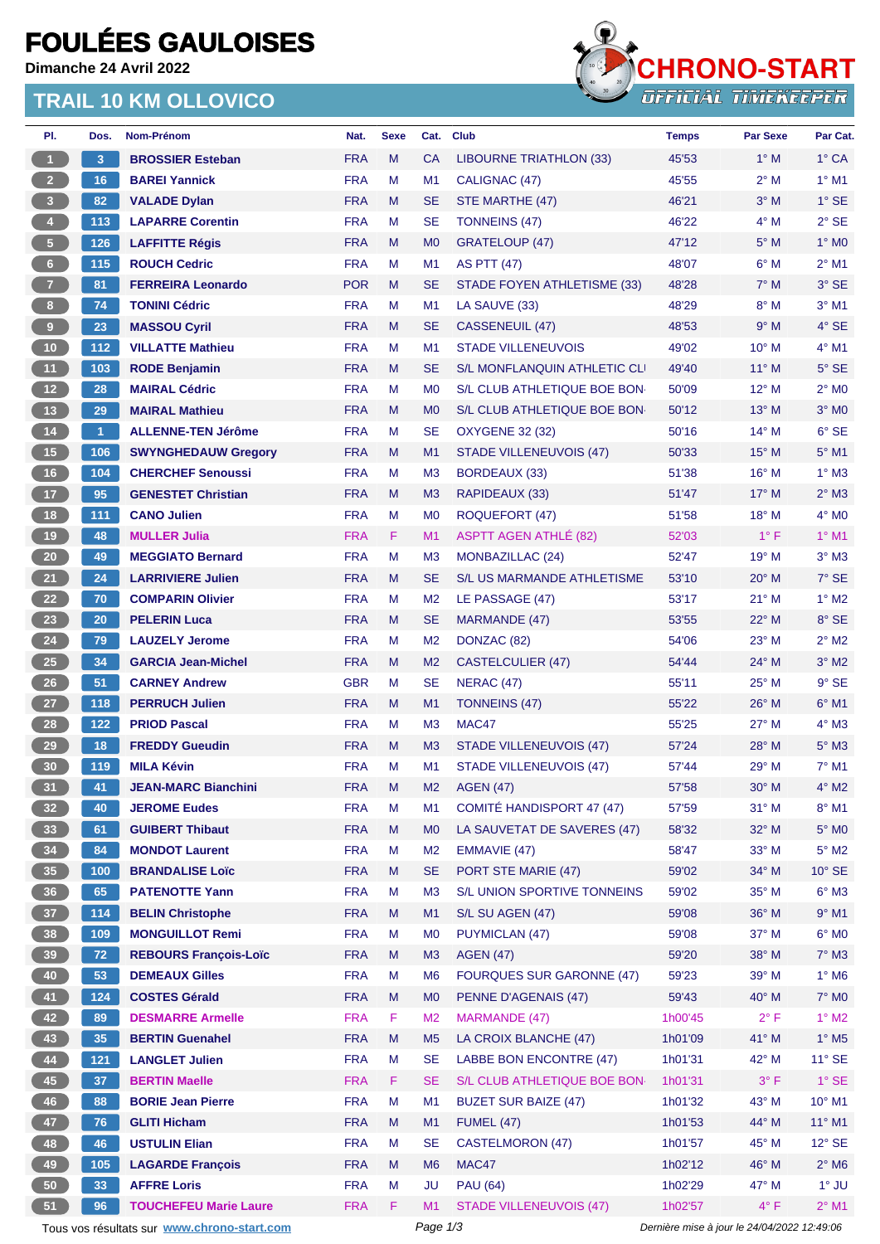# **FOULÉES GAULOISES**

**Dimanche 24 Avril 2022**

### **TRAIL 10 KM OLLOVICO**



| PI.                     | Dos.                 | Nom-Prénom                                  | Nat.       | <b>Sexe</b> | Cat.           | <b>Club</b>                        | <b>Temps</b>                                | <b>Par Sexe</b> | Par Cat.                 |
|-------------------------|----------------------|---------------------------------------------|------------|-------------|----------------|------------------------------------|---------------------------------------------|-----------------|--------------------------|
| $\mathbf{1}$            | 3                    | <b>BROSSIER Esteban</b>                     | <b>FRA</b> | M           | <b>CA</b>      | <b>LIBOURNE TRIATHLON (33)</b>     | 45'53                                       | $1^\circ$ M     | $1^\circ$ CA             |
| $2 -$                   | 16                   | <b>BAREI Yannick</b>                        | <b>FRA</b> | М           | M1             | CALIGNAC (47)                      | 45'55                                       | $2^{\circ}$ M   | $1^\circ$ M1             |
| $\overline{\mathbf{3}}$ | 82                   | <b>VALADE Dylan</b>                         | <b>FRA</b> | M           | <b>SE</b>      | STE MARTHE (47)                    | 46'21                                       | $3°$ M          | $1^\circ$ SE             |
| $\overline{4}$          | 113                  | <b>LAPARRE Corentin</b>                     | <b>FRA</b> | М           | <b>SE</b>      | <b>TONNEINS (47)</b>               | 46'22                                       | $4^\circ$ M     | $2°$ SE                  |
| $\sqrt{5}$              | 126                  | <b>LAFFITTE Régis</b>                       | <b>FRA</b> | M           | M <sub>0</sub> | <b>GRATELOUP (47)</b>              | 47'12                                       | $5^\circ$ M     | $1^\circ$ MO             |
| 6 <sup>1</sup>          | 115                  | <b>ROUCH Cedric</b>                         | <b>FRA</b> | М           | M <sub>1</sub> | <b>AS PTT (47)</b>                 | 48'07                                       | $6^\circ$ M     | $2^{\circ}$ M1           |
| 7 <sup>2</sup>          | 81                   | <b>FERREIRA Leonardo</b>                    | <b>POR</b> | M           | <b>SE</b>      | <b>STADE FOYEN ATHLETISME (33)</b> | 48'28                                       | $7^\circ$ M     | 3° SE                    |
| 8 <sup>1</sup>          | 74                   | <b>TONINI Cédric</b>                        | <b>FRA</b> | М           | M <sub>1</sub> | LA SAUVE (33)                      | 48'29                                       | $8^\circ$ M     | $3°$ M1                  |
| $\boldsymbol{9}$        | 23                   | <b>MASSOU Cyril</b>                         | <b>FRA</b> | M           | SE             | CASSENEUIL (47)                    | 48'53                                       | 9° M            | 4° SE                    |
| 10 <sub>1</sub>         | 112                  | <b>VILLATTE Mathieu</b>                     | <b>FRA</b> | M           | M1             | <b>STADE VILLENEUVOIS</b>          | 49'02                                       | 10° M           | $4°$ M1                  |
| 11                      | 103                  | <b>RODE Benjamin</b>                        | <b>FRA</b> | M           | <b>SE</b>      | S/L MONFLANQUIN ATHLETIC CLI       | 49'40                                       | $11^{\circ}$ M  | $5^\circ$ SE             |
| 12                      | 28                   | <b>MAIRAL Cédric</b>                        | <b>FRA</b> | M           | M <sub>0</sub> | S/L CLUB ATHLETIQUE BOE BON        | 50'09                                       | $12^{\circ}$ M  | $2^{\circ}$ MO           |
| 13                      | 29                   | <b>MAIRAL Mathieu</b>                       | <b>FRA</b> | M           | M <sub>0</sub> | S/L CLUB ATHLETIQUE BOE BON        | 50'12                                       | $13^\circ$ M    | $3°$ MO                  |
| $14$                    | $\blacktriangleleft$ | <b>ALLENNE-TEN Jérôme</b>                   | <b>FRA</b> | м           | SE             | <b>OXYGENE 32 (32)</b>             | 50'16                                       | $14^{\circ}$ M  | $6°$ SE                  |
| $15$                    | 106                  | <b>SWYNGHEDAUW Gregory</b>                  | <b>FRA</b> | M           | M <sub>1</sub> | <b>STADE VILLENEUVOIS (47)</b>     | 50'33                                       | $15^{\circ}$ M  | $5^\circ$ M1             |
| 16                      | 104                  | <b>CHERCHEF Senoussi</b>                    | <b>FRA</b> | м           | M <sub>3</sub> | <b>BORDEAUX (33)</b>               | 51'38                                       | 16° M           | $1^\circ$ M3             |
| 17                      | 95                   | <b>GENESTET Christian</b>                   | <b>FRA</b> | M           | M <sub>3</sub> | RAPIDEAUX (33)                     | 51'47                                       | $17^\circ$ M    | $2^{\circ}$ M3           |
| 18                      | 111                  | <b>CANO Julien</b>                          | <b>FRA</b> | M           | M <sub>0</sub> | ROQUEFORT (47)                     | 51'58                                       | 18° M           | $4^\circ$ MO             |
| 19                      | 48                   | <b>MULLER Julia</b>                         | <b>FRA</b> | F           | M1             | <b>ASPTT AGEN ATHLÉ (82)</b>       | 52'03                                       | $1^{\circ}$ F   | $1°$ M1                  |
| 20 <sub>2</sub>         | 49                   | <b>MEGGIATO Bernard</b>                     | <b>FRA</b> | М           | M <sub>3</sub> | MONBAZILLAC (24)                   | 52'47                                       | $19^{\circ}$ M  | $3^\circ$ M3             |
| 21                      |                      |                                             | <b>FRA</b> | M           |                |                                    |                                             | 20° M           | 7° SE                    |
|                         | 24                   | <b>LARRIVIERE Julien</b>                    |            |             | SE             | <b>S/L US MARMANDE ATHLETISME</b>  | 53'10                                       |                 |                          |
| 22                      | 70                   | <b>COMPARIN Olivier</b>                     | <b>FRA</b> | м           | M <sub>2</sub> | LE PASSAGE (47)                    | 53'17                                       | $21^{\circ}$ M  | $1^\circ$ M2             |
| 23                      | 20                   | <b>PELERIN Luca</b>                         | <b>FRA</b> | M           | <b>SE</b>      | MARMANDE (47)                      | 53'55                                       | 22° M           | 8° SE                    |
| 24                      | 79                   | <b>LAUZELY Jerome</b>                       | <b>FRA</b> | М           | M <sub>2</sub> | DONZAC (82)                        | 54'06                                       | 23° M           | $2^{\circ}$ M2           |
| 25                      | 34                   | <b>GARCIA Jean-Michel</b>                   | <b>FRA</b> | M           | M <sub>2</sub> | <b>CASTELCULIER (47)</b>           | 54'44                                       | $24^{\circ}$ M  | $3^\circ$ M2             |
| 26                      | 51                   | <b>CARNEY Andrew</b>                        | <b>GBR</b> | М           | SE             | <b>NERAC (47)</b>                  | 55'11                                       | $25^{\circ}$ M  | $9°$ SE                  |
| 27                      | 118                  | <b>PERRUCH Julien</b>                       | <b>FRA</b> | M           | M1             | <b>TONNEINS (47)</b>               | 55'22                                       | 26° M           | $6°$ M1                  |
| 28                      | 122                  | <b>PRIOD Pascal</b>                         | <b>FRA</b> | М           | M <sub>3</sub> | MAC47                              | 55'25                                       | $27^\circ$ M    | $4^\circ$ M3             |
| 29                      | 18                   | <b>FREDDY Gueudin</b>                       | <b>FRA</b> | M           | M <sub>3</sub> | <b>STADE VILLENEUVOIS (47)</b>     | 57'24                                       | $28^\circ$ M    | $5^\circ$ M3             |
| 30 <sub>o</sub>         | 119                  | <b>MILA Kévin</b>                           | <b>FRA</b> | М           | M1             | STADE VILLENEUVOIS (47)            | 57'44                                       | 29° M           | $7°$ M1                  |
| 31                      | 41                   | <b>JEAN-MARC Bianchini</b>                  | <b>FRA</b> | M           | M <sub>2</sub> | <b>AGEN (47)</b>                   | 57'58                                       | $30^\circ$ M    | $4^\circ$ M2             |
| 32 <sub>2</sub>         | 40                   | <b>JEROME Eudes</b>                         | <b>FRA</b> | M           | M1             | COMITÉ HANDISPORT 47 (47)          | 57'59                                       | $31^\circ$ M    | $8^\circ$ M1             |
| 33                      | 61                   | <b>GUIBERT Thibaut</b>                      | <b>FRA</b> | M           | M <sub>0</sub> | LA SAUVETAT DE SAVERES (47)        | 58'32                                       | 32° M           | $5^\circ$ MO             |
| 34                      | 84                   | <b>MONDOT Laurent</b>                       | <b>FRA</b> | M           | M <sub>2</sub> | EMMAVIE (47)                       | 58'47                                       | 33° M           | $5^\circ$ M2             |
| 35 <sub>5</sub>         | 100                  | <b>BRANDALISE Loïc</b>                      | <b>FRA</b> | M           | <b>SE</b>      | PORT STE MARIE (47)                | 59'02                                       | 34° M           | 10° SE                   |
| 36 <sup>°</sup>         | 65                   | <b>PATENOTTE Yann</b>                       | <b>FRA</b> | М           | M <sub>3</sub> | S/L UNION SPORTIVE TONNEINS        | 59'02                                       | 35° M           | $6^\circ$ M3             |
| 37                      | 114                  | <b>BELIN Christophe</b>                     | <b>FRA</b> | M           | M1             | S/L SU AGEN (47)                   | 59'08                                       | 36° M           | $9°$ M1                  |
| 38                      | 109                  | <b>MONGUILLOT Remi</b>                      | <b>FRA</b> | M           | M <sub>0</sub> | PUYMICLAN (47)                     | 59'08                                       | 37° M           | $6^\circ$ MO             |
| 39                      | $\boxed{72}$         | <b>REBOURS François-Loïc</b>                | <b>FRA</b> | M           | M3             | <b>AGEN (47)</b>                   | 59'20                                       | 38° M           | $7^\circ$ M3             |
| 40                      | 53                   | <b>DEMEAUX Gilles</b>                       | <b>FRA</b> | M           | M <sub>6</sub> | <b>FOURQUES SUR GARONNE (47)</b>   | 59'23                                       | 39° M           | $1^\circ$ M6             |
| 41                      | 124                  | <b>COSTES Gérald</b>                        | <b>FRA</b> | M           | M <sub>0</sub> | PENNE D'AGENAIS (47)               | 59'43                                       | 40° M           | 7° M0                    |
| 42                      | 89                   | <b>DESMARRE Armelle</b>                     | <b>FRA</b> | F           | M <sub>2</sub> | MARMANDE (47)                      | 1h00'45                                     | $2^{\circ}$ F   | $1^\circ$ M2             |
| 43                      | 35                   | <b>BERTIN Guenahel</b>                      | <b>FRA</b> | M           | M <sub>5</sub> | LA CROIX BLANCHE (47)              | 1h01'09                                     | 41° M           | $1^\circ$ M <sub>5</sub> |
| 44                      | $121$                | <b>LANGLET Julien</b>                       | <b>FRA</b> | М           | <b>SE</b>      | LABBE BON ENCONTRE (47)            | 1h01'31                                     | 42° M           | $11^{\circ}$ SE          |
| 45                      | 37                   | <b>BERTIN Maelle</b>                        | <b>FRA</b> | F           | <b>SE</b>      | S/L CLUB ATHLETIQUE BOE BON        | 1h01'31                                     | $3^{\circ}$ F   | $1^\circ$ SE             |
| 46                      | 88                   | <b>BORIE Jean Pierre</b>                    | <b>FRA</b> | M           | M1             | <b>BUZET SUR BAIZE (47)</b>        | 1h01'32                                     | 43° M           | $10^{\circ}$ M1          |
| 47                      | 76                   | <b>GLITI Hicham</b>                         | <b>FRA</b> | M           | M1             | <b>FUMEL (47)</b>                  | 1h01'53                                     | 44° M           | 11° M1                   |
| 48                      | 46                   | <b>USTULIN Elian</b>                        | <b>FRA</b> | М           | <b>SE</b>      | <b>CASTELMORON (47)</b>            | 1h01'57                                     | 45° M           | $12^{\circ}$ SE          |
| 49                      | 105                  | <b>LAGARDE François</b>                     | <b>FRA</b> | M           | M <sub>6</sub> | MAC47                              | 1h02'12                                     | 46° M           | $2^{\circ}$ M6           |
| 50                      | 33                   | <b>AFFRE Loris</b>                          | <b>FRA</b> | М           | JU             | <b>PAU (64)</b>                    | 1h02'29                                     | 47° M           | $1^\circ$ JU             |
| 51                      | 96                   | <b>TOUCHEFEU Marie Laure</b>                | <b>FRA</b> | F           | M1             | <b>STADE VILLENEUVOIS (47)</b>     | 1h02'57                                     | $4^{\circ}$ F   | $2^{\circ}$ M1           |
|                         |                      | Tous vos résultats sur www.chrono-start.com |            |             | Page 1/3       |                                    | Dernière mise à jour le 24/04/2022 12:49:06 |                 |                          |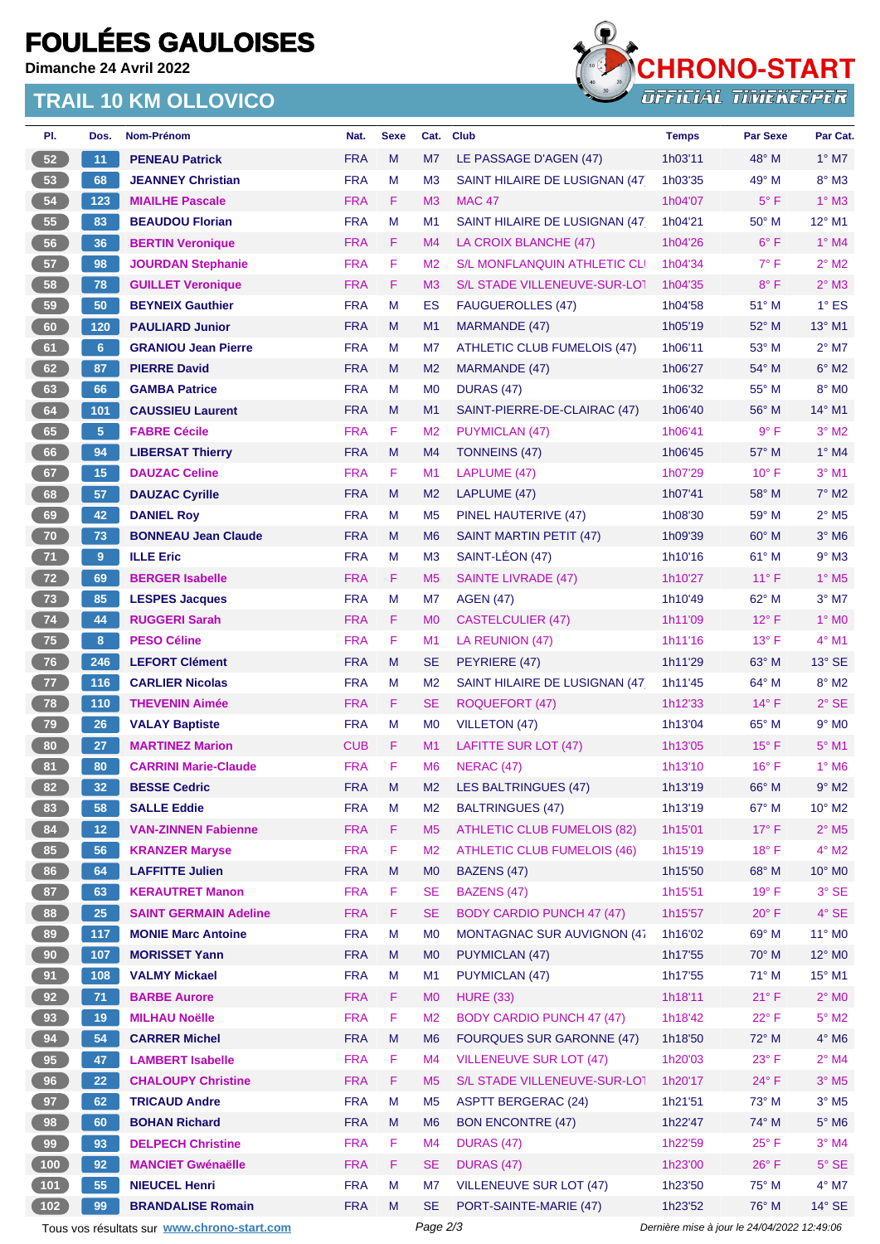# **FOULÉES GAULOISES**

**Dimanche 24 Avril 2022**

### **TRAIL 10 KM OLLOVICO**



| PI.                                                                                                    | Dos.            | Nom-Prénom                   | Nat.       | <b>Sexe</b> | Cat.           | <b>Club</b>                         | <b>Temps</b> | <b>Par Sexe</b> | Par Cat.                   |
|--------------------------------------------------------------------------------------------------------|-----------------|------------------------------|------------|-------------|----------------|-------------------------------------|--------------|-----------------|----------------------------|
| 52                                                                                                     | 11              | <b>PENEAU Patrick</b>        | <b>FRA</b> | M           | M7             | LE PASSAGE D'AGEN (47)              | 1h03'11      | 48° M           | $1^\circ$ M7               |
| 53                                                                                                     | 68              | <b>JEANNEY Christian</b>     | <b>FRA</b> | M           | M <sub>3</sub> | SAINT HILAIRE DE LUSIGNAN (47)      | 1h03'35      | 49° M           | $8^\circ$ M3               |
| 54                                                                                                     | 123             | <b>MIAILHE Pascale</b>       | <b>FRA</b> | F.          | M <sub>3</sub> | <b>MAC 47</b>                       | 1h04'07      | $5^{\circ}$ F   | $1^\circ$ M3               |
| 55                                                                                                     | 83              | <b>BEAUDOU Florian</b>       | <b>FRA</b> | M           | M <sub>1</sub> | SAINT HILAIRE DE LUSIGNAN (47)      | 1h04'21      | $50^\circ$ M    | 12° M1                     |
| 56                                                                                                     | 36              | <b>BERTIN Veronique</b>      | <b>FRA</b> | F.          | M <sub>4</sub> | LA CROIX BLANCHE (47)               | 1h04'26      | $6^{\circ}$ F   | $1^\circ$ M4               |
| 57                                                                                                     | 98              | <b>JOURDAN Stephanie</b>     | <b>FRA</b> | F           | M <sub>2</sub> | <b>S/L MONFLANQUIN ATHLETIC CLI</b> | 1h04'34      | $7^\circ$ F     | $2^{\circ}$ M2             |
| 58                                                                                                     | 78              | <b>GUILLET Veronique</b>     | <b>FRA</b> | F           | M <sub>3</sub> | S/L STADE VILLENEUVE-SUR-LOT        | 1h04'35      | $8^{\circ}$ F   | $2^{\circ}$ M3             |
| 59                                                                                                     | 50              | <b>BEYNEIX Gauthier</b>      | <b>FRA</b> | M           | ES             | <b>FAUGUEROLLES (47)</b>            | 1h04'58      | 51° M           | $1^\circ$ ES               |
| 60                                                                                                     | 120             | <b>PAULIARD Junior</b>       | <b>FRA</b> | M           | M <sub>1</sub> | MARMANDE (47)                       | 1h05'19      | 52° M           | 13° M1                     |
| 61                                                                                                     | 6 <sup>1</sup>  | <b>GRANIOU Jean Pierre</b>   | <b>FRA</b> | M           | M7             | <b>ATHLETIC CLUB FUMELOIS (47)</b>  | 1h06'11      | 53° M           | $2^{\circ}$ M7             |
| 62                                                                                                     | 87              | <b>PIERRE David</b>          | <b>FRA</b> | M           | M <sub>2</sub> | MARMANDE (47)                       | 1h06'27      | 54° M           | $6^{\circ}$ M2             |
| 63                                                                                                     | 66              | <b>GAMBA Patrice</b>         | <b>FRA</b> | М           | M <sub>0</sub> | <b>DURAS (47)</b>                   | 1h06'32      | 55° M           | 8° MO                      |
| 64                                                                                                     | 101             | <b>CAUSSIEU Laurent</b>      | <b>FRA</b> | M           | M <sub>1</sub> | SAINT-PIERRE-DE-CLAIRAC (47)        | 1h06'40      | 56° M           | $14^{\circ}$ M1            |
| 65                                                                                                     | $5\phantom{.}$  | <b>FABRE Cécile</b>          | <b>FRA</b> | F           | M <sub>2</sub> | PUYMICLAN (47)                      | 1h06'41      | 9° F            | $3°$ M2                    |
| 66                                                                                                     | 94              | <b>LIBERSAT Thierry</b>      | <b>FRA</b> | M           | M4             | TONNEINS (47)                       | 1h06'45      | 57° M           | $1^\circ$ M4               |
| 67                                                                                                     | 15              | <b>DAUZAC Celine</b>         | <b>FRA</b> | F           | M <sub>1</sub> | LAPLUME (47)                        | 1h07'29      | $10^{\circ}$ F  | $3°$ M1                    |
| 68                                                                                                     | 57              | <b>DAUZAC Cyrille</b>        | <b>FRA</b> | M           | M <sub>2</sub> | LAPLUME (47)                        | 1h07'41      | 58° M           | $7^\circ$ M2               |
| 69                                                                                                     | 42              | <b>DANIEL Roy</b>            | <b>FRA</b> | М           | M <sub>5</sub> | PINEL HAUTERIVE (47)                | 1h08'30      | $59°$ M         | $2^{\circ}$ M <sub>5</sub> |
| 70                                                                                                     | 73              | <b>BONNEAU Jean Claude</b>   | <b>FRA</b> | M           | M <sub>6</sub> | SAINT MARTIN PETIT (47)             | 1h09'39      | 60° M           | $3°$ M <sub>6</sub>        |
| 71                                                                                                     | $9^{\circ}$     | <b>ILLE Eric</b>             | <b>FRA</b> | М           | M <sub>3</sub> | SAINT-LÉON (47)                     | 1h10'16      | 61° M           | $9°$ M3                    |
| 72                                                                                                     | 69              | <b>BERGER Isabelle</b>       | <b>FRA</b> | F.          | M <sub>5</sub> | <b>SAINTE LIVRADE (47)</b>          | 1h10'27      | $11^{\circ}$ F  | $1^\circ$ M <sub>5</sub>   |
| 73                                                                                                     | 85              | <b>LESPES Jacques</b>        | <b>FRA</b> | М           | M7             | <b>AGEN (47)</b>                    | 1h10'49      | 62° M           | $3°$ M7                    |
| 74                                                                                                     | 44              | <b>RUGGERI Sarah</b>         | <b>FRA</b> | F           | M <sub>0</sub> | <b>CASTELCULIER (47)</b>            | 1h11'09      | $12^{\circ}$ F  | $1^\circ$ MO               |
| 75                                                                                                     | 8               | <b>PESO Céline</b>           | <b>FRA</b> | F           | M <sub>1</sub> | LA REUNION (47)                     | 1h11'16      | $13^{\circ}$ F  | $4^\circ$ M1               |
| 76                                                                                                     | 246             | <b>LEFORT Clément</b>        | <b>FRA</b> | M           | <b>SE</b>      | PEYRIERE (47)                       | 1h11'29      | $63^\circ$ M    | $13^\circ$ SE              |
| 77                                                                                                     | 116             | <b>CARLIER Nicolas</b>       | <b>FRA</b> | M           | M <sub>2</sub> | SAINT HILAIRE DE LUSIGNAN (47)      | 1h11'45      | 64° M           | $8^\circ$ M2               |
| 78                                                                                                     | 110             | <b>THEVENIN Aimée</b>        | <b>FRA</b> | F.          | <b>SE</b>      | ROQUEFORT (47)                      | 1h12'33      | $14^{\circ}$ F  | $2^{\circ}$ SE             |
| 79                                                                                                     | 26              | <b>VALAY Baptiste</b>        | <b>FRA</b> | М           | M <sub>0</sub> | VILLETON (47)                       | 1h13'04      | 65° M           | $9°$ MO                    |
| 80                                                                                                     | 27              | <b>MARTINEZ Marion</b>       | <b>CUB</b> | F           | M1             | <b>LAFITTE SUR LOT (47)</b>         | 1h13'05      | $15^{\circ}$ F  | $5^\circ$ M1               |
| 81                                                                                                     | 80              | <b>CARRINI Marie-Claude</b>  | <b>FRA</b> | F           | M <sub>6</sub> | NERAC (47)                          | 1h13'10      | $16^{\circ}$ F  | $1^\circ$ M6               |
| 82                                                                                                     | 32 <sub>2</sub> | <b>BESSE Cedric</b>          | <b>FRA</b> | м           | M <sub>2</sub> | LES BALTRINGUES (47)                | 1h13'19      | 66° M           | $9^\circ$ M2               |
| 83                                                                                                     | 58              | <b>SALLE Eddie</b>           | <b>FRA</b> | M           | M <sub>2</sub> | <b>BALTRINGUES (47)</b>             | 1h13'19      | 67° M           | $10^{\circ}$ M2            |
| 84                                                                                                     | 12 <sub>2</sub> | <b>VAN-ZINNEN Fabienne</b>   | <b>FRA</b> | F.          | M <sub>5</sub> | <b>ATHLETIC CLUB FUMELOIS (82)</b>  | 1h15'01      | $17^{\circ}$ F  | $2^{\circ}$ M <sub>5</sub> |
| 85                                                                                                     | 56              | <b>KRANZER Maryse</b>        | <b>FRA</b> | F           | M <sub>2</sub> | <b>ATHLETIC CLUB FUMELOIS (46)</b>  | 1h15'19      | $18^{\circ}$ F  | $4^\circ$ M2               |
| 86                                                                                                     | 64              | <b>LAFFITTE Julien</b>       | <b>FRA</b> | M           | M <sub>0</sub> | BAZENS (47)                         | 1h15'50      | 68° M           | $10^{\circ}$ MO            |
| 87                                                                                                     | 63              | <b>KERAUTRET Manon</b>       | <b>FRA</b> | F           | <b>SE</b>      | BAZENS (47)                         | 1h15'51      | 19° F           | $3°$ SE                    |
| 88                                                                                                     | 25              | <b>SAINT GERMAIN Adeline</b> | <b>FRA</b> | F           | <b>SE</b>      | <b>BODY CARDIO PUNCH 47 (47)</b>    | 1h15'57      | $20^{\circ}$ F  | $4^{\circ}$ SE             |
| 89                                                                                                     | 117             | <b>MONIE Marc Antoine</b>    | <b>FRA</b> | M           | M <sub>0</sub> | <b>MONTAGNAC SUR AUVIGNON (47</b>   | 1h16'02      | 69° M           | 11° MO                     |
| 90                                                                                                     | 107             | <b>MORISSET Yann</b>         | <b>FRA</b> | M           | M <sub>0</sub> | <b>PUYMICLAN (47)</b>               | 1h17'55      | 70° M           | 12° MO                     |
| 91                                                                                                     | 108             | <b>VALMY Mickael</b>         | <b>FRA</b> | M           | M <sub>1</sub> | <b>PUYMICLAN (47)</b>               | 1h17'55      | 71° M           | 15° M1                     |
| 92                                                                                                     | 71              | <b>BARBE Aurore</b>          | <b>FRA</b> | F.          | M <sub>0</sub> | <b>HURE (33)</b>                    | 1h18'11      | 21° F           | $2^\circ$ MO               |
| 93                                                                                                     | 19              | <b>MILHAU Noëlle</b>         | <b>FRA</b> | F           | M <sub>2</sub> | <b>BODY CARDIO PUNCH 47 (47)</b>    | 1h18'42      | $22^{\circ}$ F  | $5^\circ$ M2               |
| 94                                                                                                     | 54              | <b>CARRER Michel</b>         | <b>FRA</b> | M           | M <sub>6</sub> | <b>FOURQUES SUR GARONNE (47)</b>    |              | 72° M           | $4^\circ$ M6               |
|                                                                                                        |                 |                              |            |             |                |                                     | 1h18'50      |                 |                            |
| 95                                                                                                     | 47              | <b>LAMBERT Isabelle</b>      | <b>FRA</b> | F           | M <sub>4</sub> | <b>VILLENEUVE SUR LOT (47)</b>      | 1h20'03      | $23^{\circ}$ F  | $2^{\circ}$ M4             |
| 96                                                                                                     | 22              | <b>CHALOUPY Christine</b>    | <b>FRA</b> | F           | M <sub>5</sub> | S/L STADE VILLENEUVE-SUR-LOT        | 1h20'17      | 24°F            | $3°$ M <sub>5</sub>        |
| 97                                                                                                     | 62              | <b>TRICAUD Andre</b>         | <b>FRA</b> | M           | M <sub>5</sub> | <b>ASPTT BERGERAC (24)</b>          | 1h21'51      | 73° M           | $3^\circ$ M <sub>5</sub>   |
| 98                                                                                                     | 60              | <b>BOHAN Richard</b>         | <b>FRA</b> | M           | M <sub>6</sub> | <b>BON ENCONTRE (47)</b>            | 1h22'47      | 74° M           | $5^\circ$ M6               |
| 99                                                                                                     | 93              | <b>DELPECH Christine</b>     | <b>FRA</b> | F           | M4             | <b>DURAS (47)</b>                   | 1h22'59      | $25^{\circ}$ F  | $3°$ M4                    |
| $100$                                                                                                  | 92              | <b>MANCIET Gwénaëlle</b>     | <b>FRA</b> | F.          | <b>SE</b>      | <b>DURAS (47)</b>                   | 1h23'00      | $26^{\circ}$ F  | $5^\circ$ SE               |
| $101$                                                                                                  | 55              | <b>NIEUCEL Henri</b>         | <b>FRA</b> | М           | M7             | <b>VILLENEUVE SUR LOT (47)</b>      | 1h23'50      | 75° M           | $4^{\circ}$ M7             |
| $102$                                                                                                  | 99              | <b>BRANDALISE Romain</b>     | <b>FRA</b> | M           | <b>SE</b>      | PORT-SAINTE-MARIE (47)              | 1h23'52      | 76° M           | $14^\circ$ SE              |
| Page 2/3<br>Dernière mise à jour le 24/04/2022 12:49:06<br>Tous vos résultats sur www.chrono-start.com |                 |                              |            |             |                |                                     |              |                 |                            |